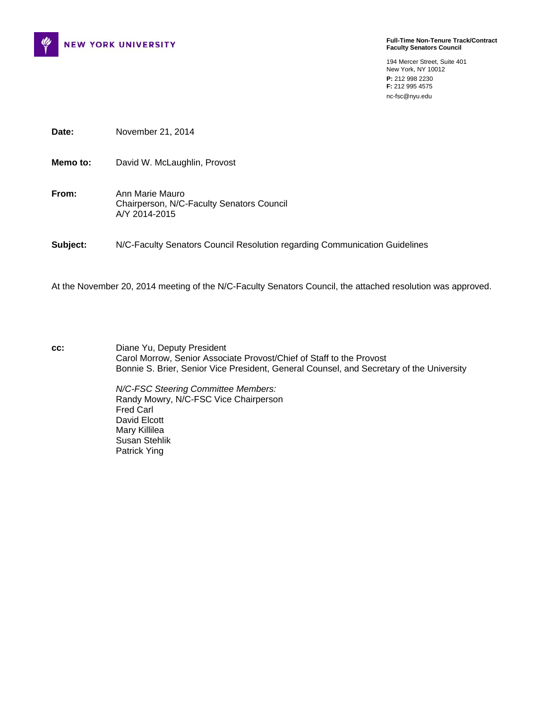

**Full-Time Non-Tenure Track/Contract Faculty Senators Council** 

194 Mercer Street, Suite 401 New York, NY 10012 **P:** 212 998 2230 **F:** 212 995 4575 nc-fsc@nyu.edu

**Date:** November 21, 2014

**Memo to:** David W. McLaughlin, Provost

**From:** Ann Marie Mauro Chairperson, N/C-Faculty Senators Council A/Y 2014-2015

**Subject:** N/C-Faculty Senators Council Resolution regarding Communication Guidelines

At the November 20, 2014 meeting of the N/C-Faculty Senators Council, the attached resolution was approved.

**cc:** Diane Yu, Deputy President Carol Morrow, Senior Associate Provost/Chief of Staff to the Provost Bonnie S. Brier, Senior Vice President, General Counsel, and Secretary of the University

> *N/C-FSC Steering Committee Members:*  Randy Mowry, N/C-FSC Vice Chairperson Fred Carl David Elcott Mary Killilea Susan Stehlik Patrick Ying